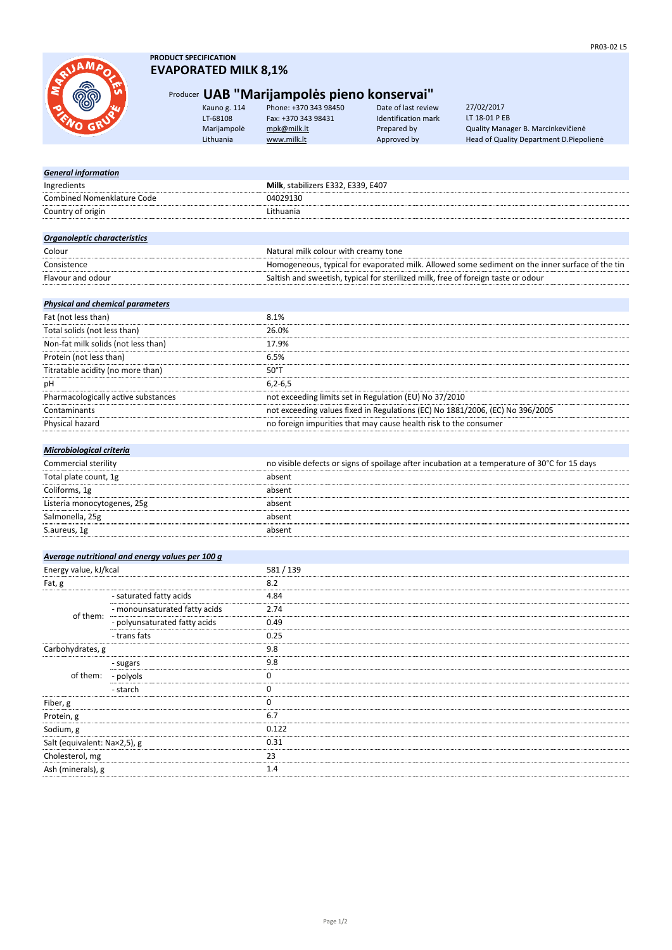*General information*

## **PRODUCT SPECIFICATION EVAPORATED MILK 8,1%**

Ingredients **Milk**, stabilizers E332, E339, E407

# Producer **UAB "Marijampolės pieno konservai"**

Kauno g. 114 Phone: +370 343 98450 Date of last review LT-68108 Fax: +370 343 98431 Identification mark Marijampolė [mpk@milk.lt](mailto:mpk@milk.lt) Prepared by Quality Manager B. Marcinkevičienė Lithuania **[www.milk.lt](http://www.milk.lt/)** Approved by Head of Quality Department D.Piepolienė

27/02/2017 LT 18-01 P EB

| <b>Combined Nomenklature Code</b>       |                                                 | 04029130                                                                                        |
|-----------------------------------------|-------------------------------------------------|-------------------------------------------------------------------------------------------------|
| Country of origin                       |                                                 | Lithuania                                                                                       |
|                                         |                                                 |                                                                                                 |
| Organoleptic characteristics            |                                                 |                                                                                                 |
| Colour                                  |                                                 | Natural milk colour with creamy tone                                                            |
| Consistence                             |                                                 | Homogeneous, typical for evaporated milk. Allowed some sediment on the inner surface of the tin |
| Flavour and odour                       |                                                 | Saltish and sweetish, typical for sterilized milk, free of foreign taste or odour               |
|                                         |                                                 |                                                                                                 |
| <b>Physical and chemical parameters</b> |                                                 |                                                                                                 |
| Fat (not less than)                     |                                                 | 8.1%                                                                                            |
| Total solids (not less than)            |                                                 | 26.0%                                                                                           |
| Non-fat milk solids (not less than)     |                                                 | 17.9%                                                                                           |
| Protein (not less than)                 |                                                 | 6.5%                                                                                            |
| Titratable acidity (no more than)       |                                                 | 50°T                                                                                            |
| рH                                      |                                                 | $6, 2 - 6, 5$                                                                                   |
| Pharmacologically active substances     |                                                 | not exceeding limits set in Regulation (EU) No 37/2010                                          |
| Contaminants                            |                                                 | not exceeding values fixed in Regulations (EC) No 1881/2006, (EC) No 396/2005                   |
| Physical hazard                         |                                                 | no foreign impurities that may cause health risk to the consumer                                |
|                                         |                                                 |                                                                                                 |
| <b>Microbiological criteria</b>         |                                                 |                                                                                                 |
| Commercial sterility                    |                                                 | no visible defects or signs of spoilage after incubation at a temperature of 30°C for 15 days   |
| Total plate count, 1g                   |                                                 | absent                                                                                          |
| Coliforms, 1g                           |                                                 | absent                                                                                          |
| Listeria monocytogenes, 25g             |                                                 | absent                                                                                          |
| Salmonella, 25g                         |                                                 | absent                                                                                          |
| S.aureus, 1g                            |                                                 | absent                                                                                          |
|                                         |                                                 |                                                                                                 |
|                                         | Average nutritional and energy values per 100 g |                                                                                                 |
| Energy value, kJ/kcal                   |                                                 | 581 / 139                                                                                       |
| Fat, g                                  |                                                 | 8.2                                                                                             |
|                                         | - saturated fatty acids                         | 4.84                                                                                            |
| of them:                                | - monounsaturated fatty acids                   | 2.74                                                                                            |
|                                         | - polyunsaturated fatty acids                   | 0.49                                                                                            |
|                                         | - trans fats                                    | 0.25                                                                                            |
| Carbohydrates, g                        |                                                 | 9.8                                                                                             |
|                                         | - sugars                                        | 9.8                                                                                             |
| of them:                                | - polyols                                       | 0                                                                                               |
|                                         | - starch                                        | 0                                                                                               |
| Fiber, g                                |                                                 | 0                                                                                               |
| Protein, g                              |                                                 | 6.7                                                                                             |
| Sodium, g                               |                                                 | 0.122                                                                                           |
| Salt (equivalent: Na×2,5), g            |                                                 | 0.31                                                                                            |
| Cholesterol, mg                         |                                                 | 23                                                                                              |
| Ash (minerals), g                       |                                                 | 1.4                                                                                             |